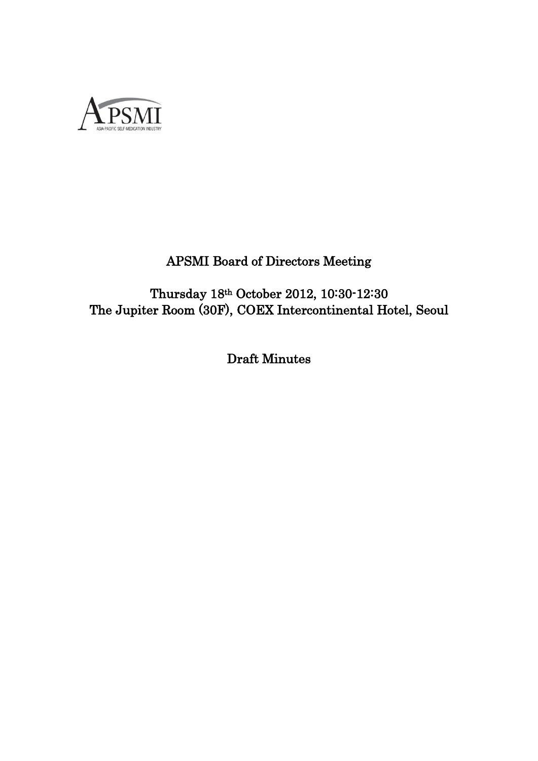

# APSMI Board of Directors Meeting

Thursday 18th October 2012, 10:30-12:30 The Jupiter Room (30F), COEX Intercontinental Hotel, Seoul

Draft Minutes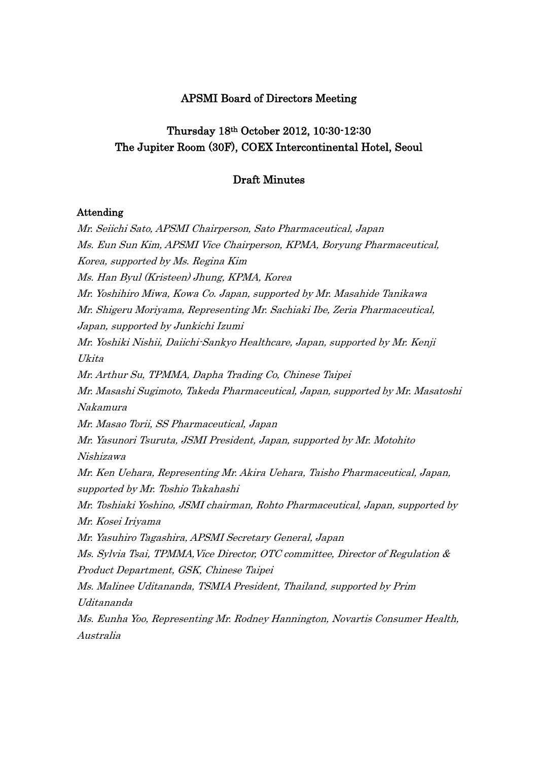# APSMI Board of Directors Meeting

# Thursday 18th October 2012, 10:30-12:30 The Jupiter Room (30F), COEX Intercontinental Hotel, Seoul

## Draft Minutes

## Attending

Mr. Seiichi Sato, APSMI Chairperson, Sato Pharmaceutical, Japan Ms. Eun Sun Kim, APSMI Vice Chairperson, KPMA, Boryung Pharmaceutical, Korea, supported by Ms. Regina Kim Ms. Han Byul (Kristeen) Jhung, KPMA, Korea Mr. Yoshihiro Miwa, Kowa Co. Japan, supported by Mr. Masahide Tanikawa Mr. Shigeru Moriyama, Representing Mr. Sachiaki Ibe, Zeria Pharmaceutical, Japan, supported by Junkichi Izumi Mr. Yoshiki Nishii, Daiichi-Sankyo Healthcare, Japan, supported by Mr. Kenji Ukita Mr. Arthur Su, TPMMA, Dapha Trading Co, Chinese Taipei Mr. Masashi Sugimoto, Takeda Pharmaceutical, Japan, supported by Mr. Masatoshi Nakamura Mr. Masao Torii, SS Pharmaceutical, Japan Mr. Yasunori Tsuruta, JSMI President, Japan, supported by Mr. Motohito Nishizawa Mr. Ken Uehara, Representing Mr. Akira Uehara, Taisho Pharmaceutical, Japan, supported by Mr. Toshio Takahashi Mr. Toshiaki Yoshino, JSMI chairman, Rohto Pharmaceutical, Japan, supported by Mr. Kosei Iriyama Mr. Yasuhiro Tagashira, APSMI Secretary General, Japan Ms. Sylvia Tsai, TPMMA,Vice Director, OTC committee, Director of Regulation & Product Department, GSK, Chinese Taipei Ms. Malinee Uditananda, TSMIA President, Thailand, supported by Prim Uditananda Ms. Eunha Yoo, Representing Mr. Rodney Hannington, Novartis Consumer Health, Australia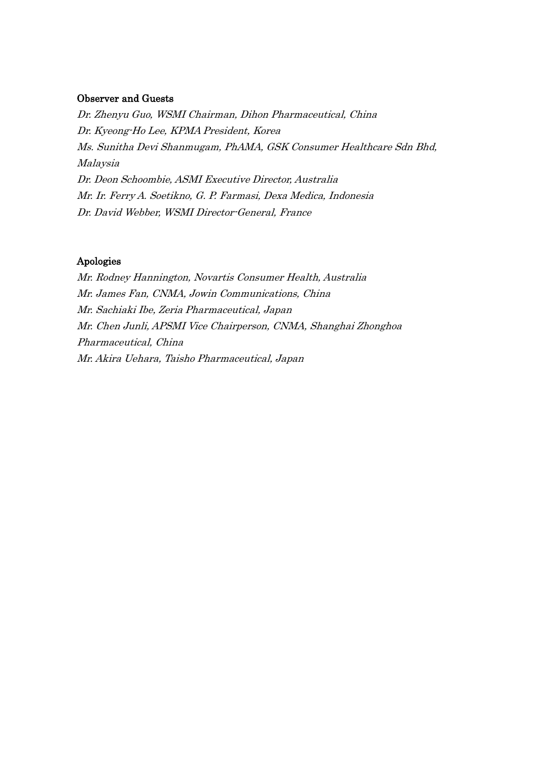#### Observer and Guests

Dr. Zhenyu Guo, WSMI Chairman, Dihon Pharmaceutical, China Dr. Kyeong-Ho Lee, KPMA President, Korea Ms. Sunitha Devi Shanmugam, PhAMA, GSK Consumer Healthcare Sdn Bhd, Malaysia Dr. Deon Schoombie, ASMI Executive Director, Australia Mr. Ir. Ferry A. Soetikno, G. P. Farmasi, Dexa Medica, Indonesia Dr. David Webber, WSMI Director-General, France

## Apologies

Mr. Rodney Hannington, Novartis Consumer Health, Australia Mr. James Fan, CNMA, Jowin Communications, China Mr. Sachiaki Ibe, Zeria Pharmaceutical, Japan Mr. Chen Junli, APSMI Vice Chairperson, CNMA, Shanghai Zhonghoa Pharmaceutical, China Mr. Akira Uehara, Taisho Pharmaceutical, Japan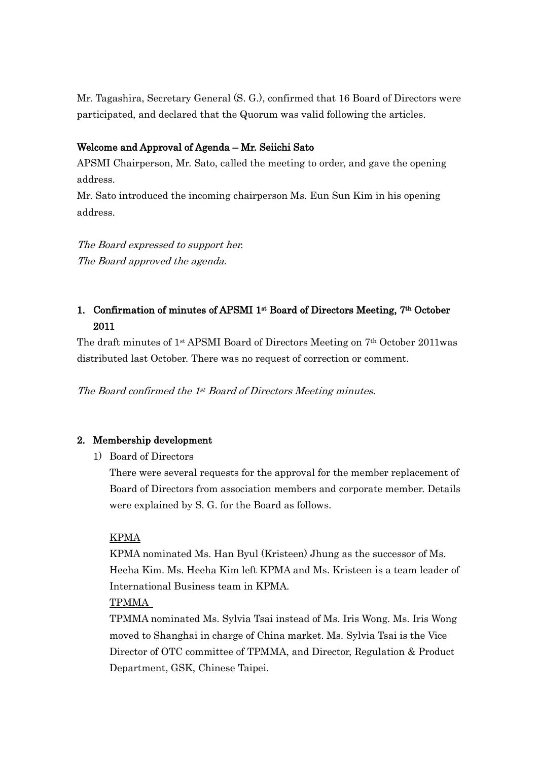Mr. Tagashira, Secretary General (S. G.), confirmed that 16 Board of Directors were participated, and declared that the Quorum was valid following the articles.

# Welcome and Approval of Agenda – Mr. Seiichi Sato

APSMI Chairperson, Mr. Sato, called the meeting to order, and gave the opening address.

Mr. Sato introduced the incoming chairperson Ms. Eun Sun Kim in his opening address.

The Board expressed to support her. The Board approved the agenda.

# 1. Confirmation of minutes of APSMI 1st Board of Directors Meeting, 7th October 2011

The draft minutes of 1st APSMI Board of Directors Meeting on 7th October 2011was distributed last October. There was no request of correction or comment.

The Board confirmed the 1st Board of Directors Meeting minutes.

# 2. Membership development

1) Board of Directors

There were several requests for the approval for the member replacement of Board of Directors from association members and corporate member. Details were explained by S. G. for the Board as follows.

## KPMA

KPMA nominated Ms. Han Byul (Kristeen) Jhung as the successor of Ms. Heeha Kim. Ms. Heeha Kim left KPMA and Ms. Kristeen is a team leader of International Business team in KPMA.

# TPMMA

TPMMA nominated Ms. Sylvia Tsai instead of Ms. Iris Wong. Ms. Iris Wong moved to Shanghai in charge of China market. Ms. Sylvia Tsai is the Vice Director of OTC committee of TPMMA, and Director, Regulation & Product Department, GSK, Chinese Taipei.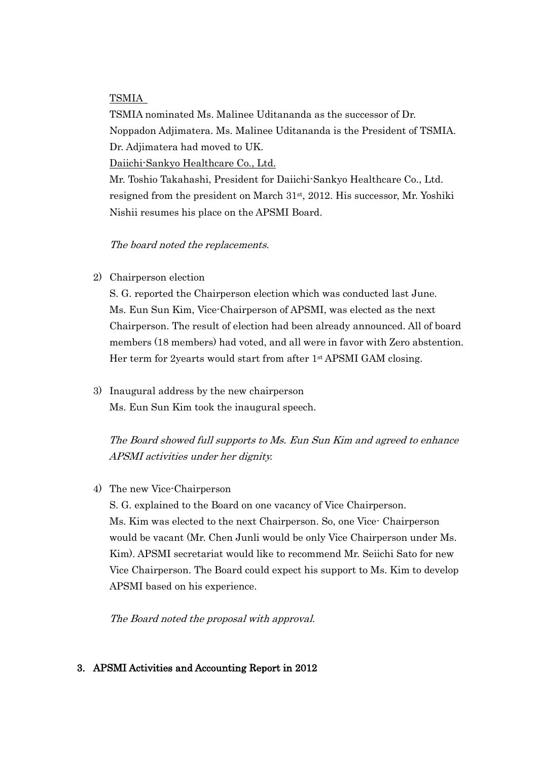## TSMIA

TSMIA nominated Ms. Malinee Uditananda as the successor of Dr. Noppadon Adjimatera. Ms. Malinee Uditananda is the President of TSMIA. Dr. Adjimatera had moved to UK.

Daiichi-Sankyo Healthcare Co., Ltd.

Mr. Toshio Takahashi, President for Daiichi-Sankyo Healthcare Co., Ltd. resigned from the president on March  $31<sup>st</sup>$ ,  $2012$ . His successor, Mr. Yoshiki Nishii resumes his place on the APSMI Board.

The board noted the replacements.

2) Chairperson election

S. G. reported the Chairperson election which was conducted last June. Ms. Eun Sun Kim, Vice-Chairperson of APSMI, was elected as the next Chairperson. The result of election had been already announced. All of board members (18 members) had voted, and all were in favor with Zero abstention. Her term for 2yearts would start from after 1st APSMI GAM closing.

3) Inaugural address by the new chairperson Ms. Eun Sun Kim took the inaugural speech.

The Board showed full supports to Ms. Eun Sun Kim and agreed to enhance APSMI activities under her dignity.

4) The new Vice-Chairperson

S. G. explained to the Board on one vacancy of Vice Chairperson. Ms. Kim was elected to the next Chairperson. So, one Vice- Chairperson would be vacant (Mr. Chen Junli would be only Vice Chairperson under Ms. Kim). APSMI secretariat would like to recommend Mr. Seiichi Sato for new Vice Chairperson. The Board could expect his support to Ms. Kim to develop APSMI based on his experience.

The Board noted the proposal with approval.

# 3. APSMI Activities and Accounting Report in 2012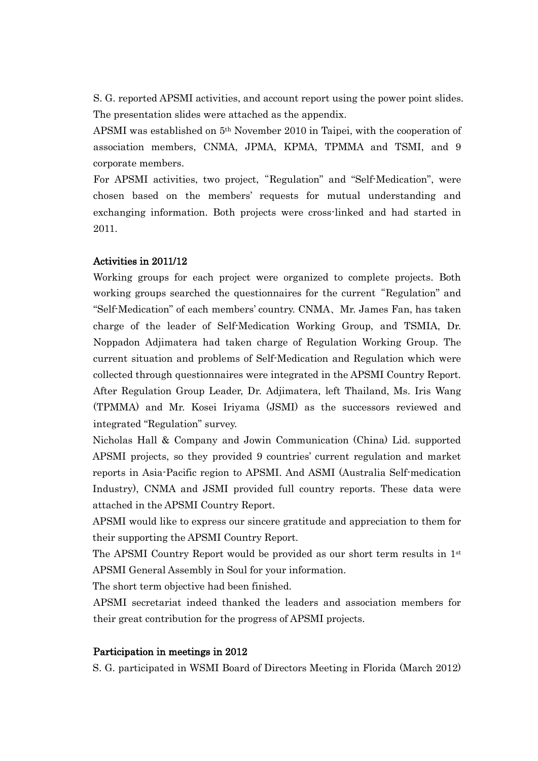S. G. reported APSMI activities, and account report using the power point slides. The presentation slides were attached as the appendix.

APSMI was established on 5th November 2010 in Taipei, with the cooperation of association members, CNMA, JPMA, KPMA, TPMMA and TSMI, and 9 corporate members.

For APSMI activities, two project,"Regulation" and "Self-Medication", were chosen based on the members' requests for mutual understanding and exchanging information. Both projects were cross-linked and had started in 2011.

## Activities in 2011/12

Working groups for each project were organized to complete projects. Both working groups searched the questionnaires for the current "Regulation" and "Self-Medication" of each members' country. CNMA、Mr. James Fan, has taken charge of the leader of Self-Medication Working Group, and TSMIA, Dr. Noppadon Adjimatera had taken charge of Regulation Working Group. The current situation and problems of Self-Medication and Regulation which were collected through questionnaires were integrated in the APSMI Country Report. After Regulation Group Leader, Dr. Adjimatera, left Thailand, Ms. Iris Wang (TPMMA) and Mr. Kosei Iriyama (JSMI) as the successors reviewed and integrated "Regulation" survey.

Nicholas Hall & Company and Jowin Communication (China) Lid. supported APSMI projects, so they provided 9 countries' current regulation and market reports in Asia-Pacific region to APSMI. And ASMI (Australia Self-medication Industry), CNMA and JSMI provided full country reports. These data were attached in the APSMI Country Report.

APSMI would like to express our sincere gratitude and appreciation to them for their supporting the APSMI Country Report.

The APSMI Country Report would be provided as our short term results in  $1<sup>st</sup>$ APSMI General Assembly in Soul for your information.

The short term objective had been finished.

APSMI secretariat indeed thanked the leaders and association members for their great contribution for the progress of APSMI projects.

### Participation in meetings in 2012

S. G. participated in WSMI Board of Directors Meeting in Florida (March 2012)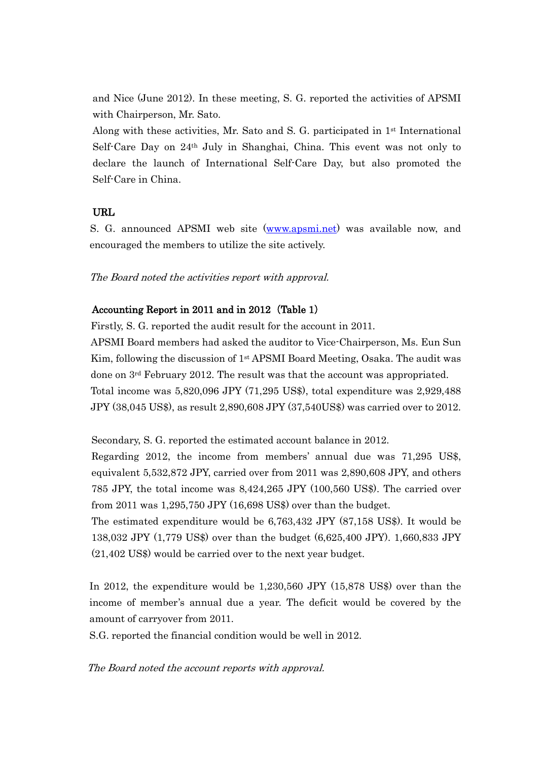and Nice (June 2012). In these meeting, S. G. reported the activities of APSMI with Chairperson, Mr. Sato.

Along with these activities, Mr. Sato and S. G. participated in  $1<sup>st</sup>$  International Self-Care Day on 24th July in Shanghai, China. This event was not only to declare the launch of International Self-Care Day, but also promoted the Self-Care in China.

## URL

S. G. announced APSMI web site [\(www.apsmi.net\)](http://www.apsmi.net/) was available now, and encouraged the members to utilize the site actively.

The Board noted the activities report with approval.

# Accounting Report in 2011 and in 2012 (Table 1)

Firstly, S. G. reported the audit result for the account in 2011.

APSMI Board members had asked the auditor to Vice-Chairperson, Ms. Eun Sun Kim, following the discussion of  $1<sup>st</sup>$  APSMI Board Meeting, Osaka. The audit was done on 3rd February 2012. The result was that the account was appropriated. Total income was 5,820,096 JPY (71,295 US\$), total expenditure was 2,929,488 JPY (38,045 US\$), as result 2,890,608 JPY (37,540US\$) was carried over to 2012.

Secondary, S. G. reported the estimated account balance in 2012.

Regarding 2012, the income from members' annual due was 71,295 US\$, equivalent 5,532,872 JPY, carried over from 2011 was 2,890,608 JPY, and others 785 JPY, the total income was 8,424,265 JPY (100,560 US\$). The carried over from 2011 was 1,295,750 JPY (16,698 US\$) over than the budget.

The estimated expenditure would be 6,763,432 JPY (87,158 US\$). It would be 138,032 JPY (1,779 US\$) over than the budget (6,625,400 JPY). 1,660,833 JPY (21,402 US\$) would be carried over to the next year budget.

In 2012, the expenditure would be 1,230,560 JPY (15,878 US\$) over than the income of member's annual due a year. The deficit would be covered by the amount of carryover from 2011.

S.G. reported the financial condition would be well in 2012.

The Board noted the account reports with approval.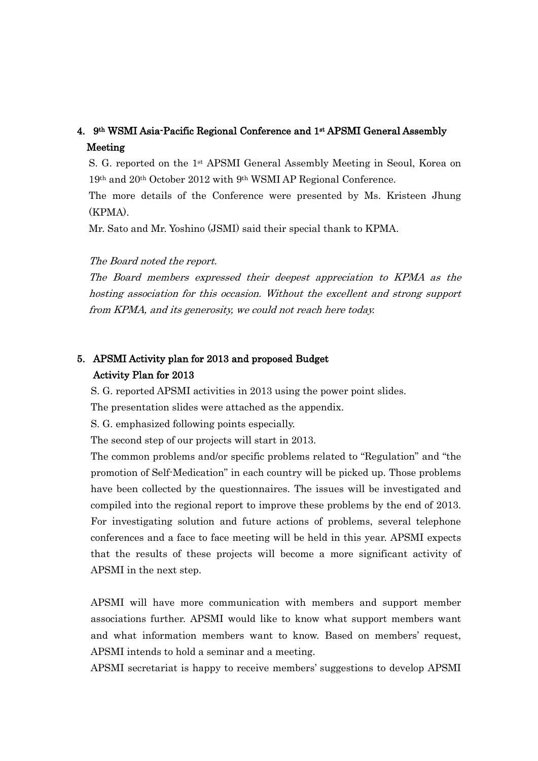# 4. 9th WSMI Asia-Pacific Regional Conference and 1st APSMI General Assembly Meeting

S. G. reported on the 1st APSMI General Assembly Meeting in Seoul, Korea on 19th and 20th October 2012 with 9th WSMI AP Regional Conference.

The more details of the Conference were presented by Ms. Kristeen Jhung (KPMA).

Mr. Sato and Mr. Yoshino (JSMI) said their special thank to KPMA.

The Board noted the report.

The Board members expressed their deepest appreciation to KPMA as the hosting association for this occasion. Without the excellent and strong support from KPMA, and its generosity, we could not reach here today.

# 5. APSMI Activity plan for 2013 and proposed Budget Activity Plan for 2013

S. G. reported APSMI activities in 2013 using the power point slides.

The presentation slides were attached as the appendix.

S. G. emphasized following points especially.

The second step of our projects will start in 2013.

The common problems and/or specific problems related to "Regulation" and "the promotion of Self-Medication" in each country will be picked up. Those problems have been collected by the questionnaires. The issues will be investigated and compiled into the regional report to improve these problems by the end of 2013. For investigating solution and future actions of problems, several telephone conferences and a face to face meeting will be held in this year. APSMI expects that the results of these projects will become a more significant activity of APSMI in the next step.

APSMI will have more communication with members and support member associations further. APSMI would like to know what support members want and what information members want to know. Based on members' request, APSMI intends to hold a seminar and a meeting.

APSMI secretariat is happy to receive members' suggestions to develop APSMI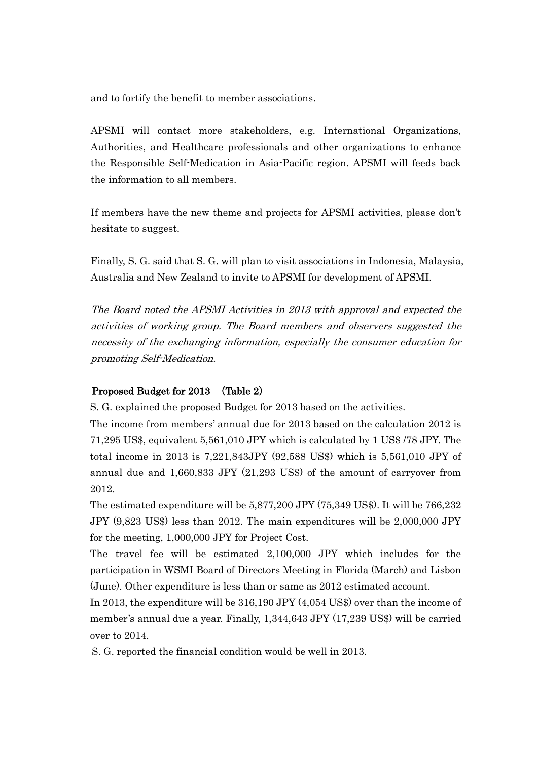and to fortify the benefit to member associations.

APSMI will contact more stakeholders, e.g. International Organizations, Authorities, and Healthcare professionals and other organizations to enhance the Responsible Self-Medication in Asia-Pacific region. APSMI will feeds back the information to all members.

If members have the new theme and projects for APSMI activities, please don't hesitate to suggest.

Finally, S. G. said that S. G. will plan to visit associations in Indonesia, Malaysia, Australia and New Zealand to invite to APSMI for development of APSMI.

The Board noted the APSMI Activities in 2013 with approval and expected the activities of working group. The Board members and observers suggested the necessity of the exchanging information, especially the consumer education for promoting Self-Medication.

## Proposed Budget for 2013 (Table 2)

S. G. explained the proposed Budget for 2013 based on the activities.

The income from members' annual due for 2013 based on the calculation 2012 is 71,295 US\$, equivalent 5,561,010 JPY which is calculated by 1 US\$ /78 JPY. The total income in 2013 is 7,221,843JPY (92,588 US\$) which is 5,561,010 JPY of annual due and 1,660,833 JPY (21,293 US\$) of the amount of carryover from 2012.

The estimated expenditure will be 5,877,200 JPY (75,349 US\$). It will be 766,232 JPY (9,823 US\$) less than 2012. The main expenditures will be 2,000,000 JPY for the meeting, 1,000,000 JPY for Project Cost.

The travel fee will be estimated 2,100,000 JPY which includes for the participation in WSMI Board of Directors Meeting in Florida (March) and Lisbon (June). Other expenditure is less than or same as 2012 estimated account.

In 2013, the expenditure will be 316,190 JPY (4,054 US\$) over than the income of member's annual due a year. Finally, 1,344,643 JPY (17,239 US\$) will be carried over to 2014.

S. G. reported the financial condition would be well in 2013.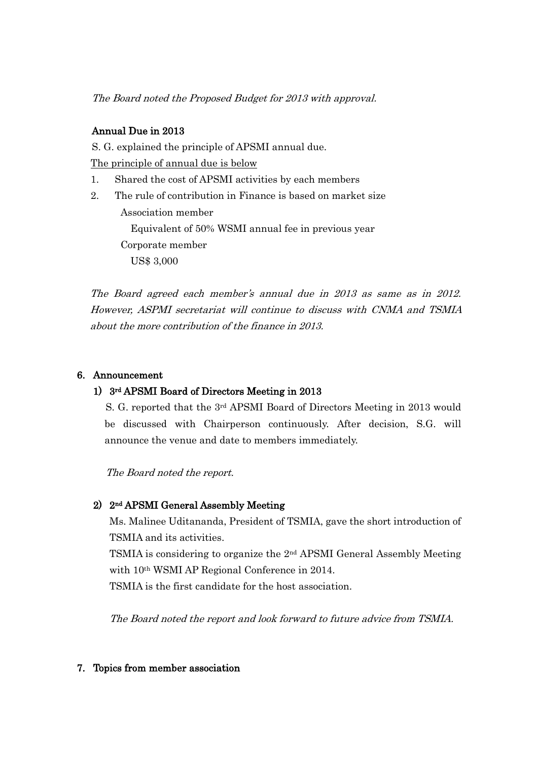The Board noted the Proposed Budget for 2013 with approval.

# Annual Due in 2013

S. G. explained the principle of APSMI annual due.

The principle of annual due is below

- 1. Shared the cost of APSMI activities by each members
- 2. The rule of contribution in Finance is based on market size Association member Equivalent of 50% WSMI annual fee in previous year Corporate member US\$ 3,000

The Board agreed each member's annual due in 2013 as same as in 2012. However, ASPMI secretariat will continue to discuss with CNMA and TSMIA about the more contribution of the finance in 2013.

# 6. Announcement

# 1) 3rd APSMI Board of Directors Meeting in 2013

S. G. reported that the 3rd APSMI Board of Directors Meeting in 2013 would be discussed with Chairperson continuously. After decision, S.G. will announce the venue and date to members immediately.

The Board noted the report.

# 2) 2nd APSMI General Assembly Meeting

Ms. Malinee Uditananda, President of TSMIA, gave the short introduction of TSMIA and its activities.

TSMIA is considering to organize the 2nd APSMI General Assembly Meeting with 10th WSMI AP Regional Conference in 2014.

TSMIA is the first candidate for the host association.

The Board noted the report and look forward to future advice from TSMIA.

# 7. Topics from member association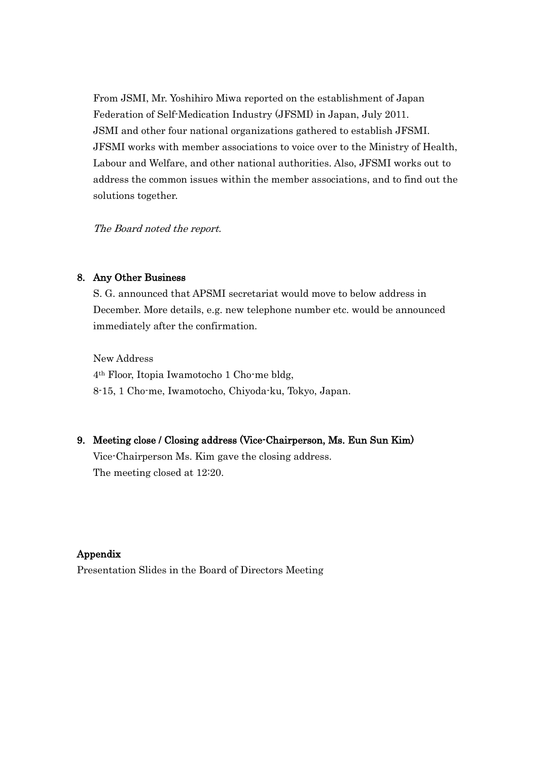From JSMI, Mr. Yoshihiro Miwa reported on the establishment of Japan Federation of Self-Medication Industry (JFSMI) in Japan, July 2011. JSMI and other four national organizations gathered to establish JFSMI. JFSMI works with member associations to voice over to the Ministry of Health, Labour and Welfare, and other national authorities. Also, JFSMI works out to address the common issues within the member associations, and to find out the solutions together.

The Board noted the report.

#### 8. Any Other Business

S. G. announced that APSMI secretariat would move to below address in December. More details, e.g. new telephone number etc. would be announced immediately after the confirmation.

New Address 4th Floor, Itopia Iwamotocho 1 Cho-me bldg, 8-15, 1 Cho-me, Iwamotocho, Chiyoda-ku, Tokyo, Japan.

## 9. Meeting close / Closing address (Vice-Chairperson, Ms. Eun Sun Kim)

Vice-Chairperson Ms. Kim gave the closing address. The meeting closed at 12:20.

# Appendix

Presentation Slides in the Board of Directors Meeting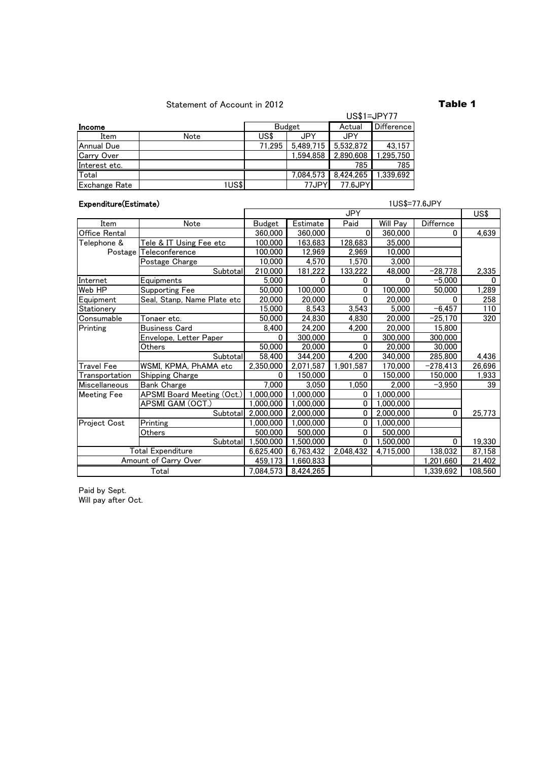### Statement of Account in 2012 **Table 1**

#### **Income**<br>
Item | Note | Budget Actual Difference<br>
US\$ | JPY JPY Item Note US\$ JPY JPY Annual Due 71,295 5,489,715 5,532,872 43,157<br>Carry Over 1,594,858 2,890,608 1,295,750 Carry Over 1,594,858 2,890,608 1,295,750<br>Interest etc. 785 785 Interest etc. 785 Total 7,084,573 8,424,265 1,339,692<br>Exchange Rate 1US\$ 77JPY 77.6JPY Exchange Rate 1US\$ 77JPY 77.6JPY Budget US\$1=JPY77

| Expenditure(Estimate)    |                                   | 1US\$=77.6JPY |                        |              |           |            |         |
|--------------------------|-----------------------------------|---------------|------------------------|--------------|-----------|------------|---------|
|                          |                                   |               |                        | <b>JPY</b>   |           |            | US\$    |
| Item                     | Note                              | Budget        | Estimate               | Paid         | Will Pay  | Differnce  |         |
| Office Rental            |                                   | 360,000       | 360,000                | $\mathbf{0}$ | 360,000   | 0          | 4,639   |
| Telephone &              | Tele & IT Using Fee etc           | 100,000       | 163,683                | 128,683      | 35,000    |            |         |
| Postage                  | Teleconference                    | 100.000       | 12,969                 | 2,969        | 10.000    |            |         |
|                          | Postage Charge                    | 10,000        | 4.570                  | 1,570        | 3,000     |            |         |
|                          | Subtotal                          | 210,000       | 181,222                | 133,222      | 48,000    | $-28,778$  | 2,335   |
| Internet                 | Equipments                        | 5,000         | 0                      | 0            | 0         | $-5,000$   | 0       |
| Web HP                   | Supporting Fee                    | 50,000        | 100,000                | 0            | 100,000   | 50,000     | 1,289   |
| Equipment                | Seal, Stanp, Name Plate etc       | 20,000        | 20,000                 | 0            | 20,000    | 0          | 258     |
| Stationery               |                                   | 15,000        | 8,543                  | 3,543        | 5,000     | $-6,457$   | 110     |
| Consumable               | Tonaer etc.                       | 50,000        | 24,830                 | 4,830        | 20,000    | $-25,170$  | 320     |
| Printing                 | <b>Business Card</b>              | 8,400         | 24,200                 | 4,200        | 20,000    | 15,800     |         |
|                          | Envelope, Letter Paper            | o             | 300,000                | 0            | 300,000   | 300,000    |         |
|                          | Others                            | 50,000        | 20,000                 | $\Omega$     | 20,000    | 30,000     |         |
|                          | Subtotal                          | 58,400        | 344,200                | 4,200        | 340,000   | 285,800    | 4,436   |
| Travel Fee               | WSMI, KPMA, PhAMA etc             | 2,350,000     | 2,071,587              | 1,901,587    | 170,000   | $-278,413$ | 26,696  |
| <u>Transportation</u>    | Shipping Charge                   | 0             | 150,000                | 0            | 150,000   | 150,000    | 1.933   |
| <b>Miscellaneous</b>     | <b>Bank Charge</b>                | 7,000         | 3.050                  | 1,050        | 2.000     | $-3,950$   | 39      |
| <b>Meeting Fee</b>       | <b>APSMI Board Meeting (Oct.)</b> | 1,000,000     | $\overline{1,000,000}$ | 0            | ,000,000  |            |         |
|                          | APSMI GAM (OCT.)                  | 1,000,000     | 1,000,000              | 0            | ,000,000  |            |         |
|                          | Subtotal                          | 2,000,000     | 2,000,000              | 0            | 2,000,000 | 0          | 25,773  |
| Project Cost             | Printing                          | 1,000,000     | ,000,000               | 0            | ,000,000  |            |         |
|                          | Others                            | 500,000       | 500,000                | 0            | 500,000   |            |         |
|                          | Subtotal                          | ,500,000      | ,500,000               | 0            | 1,500,000 | 0          | 19,330  |
| <b>Total Expenditure</b> |                                   | 6,625,400     | 6,763,432              | 2,048,432    | 4,715,000 | 138,032    | 87,158  |
| Amount of Carry Over     |                                   | 459,173       | 1,660,833              |              |           | 1,201,660  | 21,402  |
| Total                    |                                   | 7,084,573     | 8,424,265              |              |           | 1,339,692  | 108,560 |

Will pay after Oct. Paid by Sept.